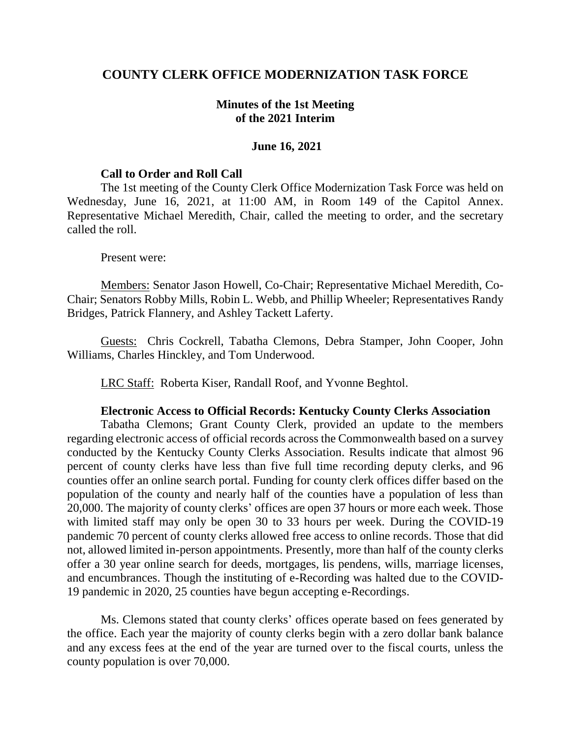## **COUNTY CLERK OFFICE MODERNIZATION TASK FORCE**

## **Minutes of the 1st Meeting of the 2021 Interim**

### **June 16, 2021**

#### **Call to Order and Roll Call**

The 1st meeting of the County Clerk Office Modernization Task Force was held on Wednesday, June 16, 2021, at 11:00 AM, in Room 149 of the Capitol Annex. Representative Michael Meredith, Chair, called the meeting to order, and the secretary called the roll.

#### Present were:

Members: Senator Jason Howell, Co-Chair; Representative Michael Meredith, Co-Chair; Senators Robby Mills, Robin L. Webb, and Phillip Wheeler; Representatives Randy Bridges, Patrick Flannery, and Ashley Tackett Laferty.

Guests: Chris Cockrell, Tabatha Clemons, Debra Stamper, John Cooper, John Williams, Charles Hinckley, and Tom Underwood.

LRC Staff: Roberta Kiser, Randall Roof, and Yvonne Beghtol.

#### **Electronic Access to Official Records: Kentucky County Clerks Association**

Tabatha Clemons; Grant County Clerk, provided an update to the members regarding electronic access of official records across the Commonwealth based on a survey conducted by the Kentucky County Clerks Association. Results indicate that almost 96 percent of county clerks have less than five full time recording deputy clerks, and 96 counties offer an online search portal. Funding for county clerk offices differ based on the population of the county and nearly half of the counties have a population of less than 20,000. The majority of county clerks' offices are open 37 hours or more each week. Those with limited staff may only be open 30 to 33 hours per week. During the COVID-19 pandemic 70 percent of county clerks allowed free access to online records. Those that did not, allowed limited in-person appointments. Presently, more than half of the county clerks offer a 30 year online search for deeds, mortgages, lis pendens, wills, marriage licenses, and encumbrances. Though the instituting of e-Recording was halted due to the COVID-19 pandemic in 2020, 25 counties have begun accepting e-Recordings.

Ms. Clemons stated that county clerks' offices operate based on fees generated by the office. Each year the majority of county clerks begin with a zero dollar bank balance and any excess fees at the end of the year are turned over to the fiscal courts, unless the county population is over 70,000.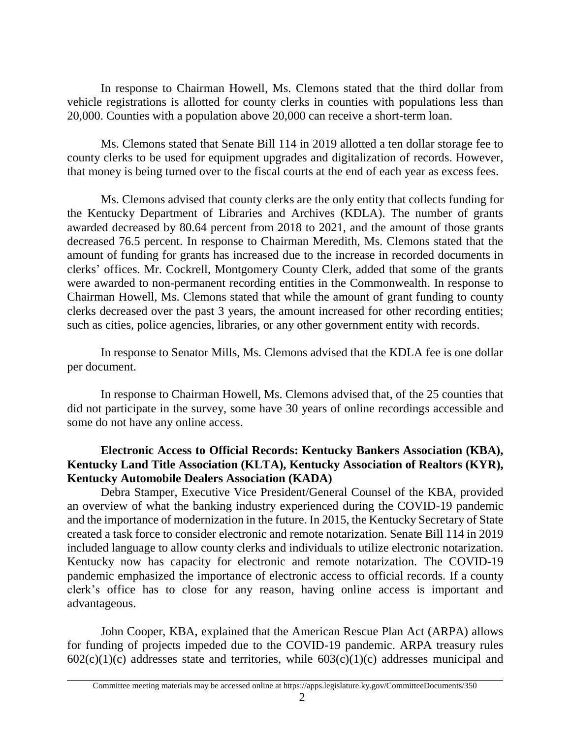In response to Chairman Howell, Ms. Clemons stated that the third dollar from vehicle registrations is allotted for county clerks in counties with populations less than 20,000. Counties with a population above 20,000 can receive a short-term loan.

Ms. Clemons stated that Senate Bill 114 in 2019 allotted a ten dollar storage fee to county clerks to be used for equipment upgrades and digitalization of records. However, that money is being turned over to the fiscal courts at the end of each year as excess fees.

Ms. Clemons advised that county clerks are the only entity that collects funding for the Kentucky Department of Libraries and Archives (KDLA). The number of grants awarded decreased by 80.64 percent from 2018 to 2021, and the amount of those grants decreased 76.5 percent. In response to Chairman Meredith, Ms. Clemons stated that the amount of funding for grants has increased due to the increase in recorded documents in clerks' offices. Mr. Cockrell, Montgomery County Clerk, added that some of the grants were awarded to non-permanent recording entities in the Commonwealth. In response to Chairman Howell, Ms. Clemons stated that while the amount of grant funding to county clerks decreased over the past 3 years, the amount increased for other recording entities; such as cities, police agencies, libraries, or any other government entity with records.

In response to Senator Mills, Ms. Clemons advised that the KDLA fee is one dollar per document.

In response to Chairman Howell, Ms. Clemons advised that, of the 25 counties that did not participate in the survey, some have 30 years of online recordings accessible and some do not have any online access.

# **Electronic Access to Official Records: Kentucky Bankers Association (KBA), Kentucky Land Title Association (KLTA), Kentucky Association of Realtors (KYR), Kentucky Automobile Dealers Association (KADA)**

Debra Stamper, Executive Vice President/General Counsel of the KBA, provided an overview of what the banking industry experienced during the COVID-19 pandemic and the importance of modernization in the future. In 2015, the Kentucky Secretary of State created a task force to consider electronic and remote notarization. Senate Bill 114 in 2019 included language to allow county clerks and individuals to utilize electronic notarization. Kentucky now has capacity for electronic and remote notarization. The COVID-19 pandemic emphasized the importance of electronic access to official records. If a county clerk's office has to close for any reason, having online access is important and advantageous.

John Cooper, KBA, explained that the American Rescue Plan Act (ARPA) allows for funding of projects impeded due to the COVID-19 pandemic. ARPA treasury rules  $602(c)(1)(c)$  addresses state and territories, while  $603(c)(1)(c)$  addresses municipal and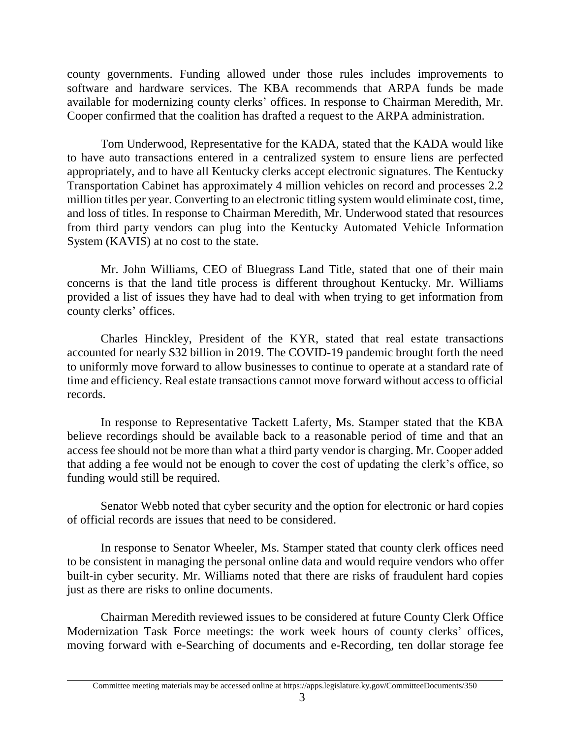county governments. Funding allowed under those rules includes improvements to software and hardware services. The KBA recommends that ARPA funds be made available for modernizing county clerks' offices. In response to Chairman Meredith, Mr. Cooper confirmed that the coalition has drafted a request to the ARPA administration.

Tom Underwood, Representative for the KADA, stated that the KADA would like to have auto transactions entered in a centralized system to ensure liens are perfected appropriately, and to have all Kentucky clerks accept electronic signatures. The Kentucky Transportation Cabinet has approximately 4 million vehicles on record and processes 2.2 million titles per year. Converting to an electronic titling system would eliminate cost, time, and loss of titles. In response to Chairman Meredith, Mr. Underwood stated that resources from third party vendors can plug into the Kentucky Automated Vehicle Information System (KAVIS) at no cost to the state.

Mr. John Williams, CEO of Bluegrass Land Title, stated that one of their main concerns is that the land title process is different throughout Kentucky. Mr. Williams provided a list of issues they have had to deal with when trying to get information from county clerks' offices.

Charles Hinckley, President of the KYR, stated that real estate transactions accounted for nearly \$32 billion in 2019. The COVID-19 pandemic brought forth the need to uniformly move forward to allow businesses to continue to operate at a standard rate of time and efficiency. Real estate transactions cannot move forward without access to official records.

In response to Representative Tackett Laferty, Ms. Stamper stated that the KBA believe recordings should be available back to a reasonable period of time and that an access fee should not be more than what a third party vendor is charging. Mr. Cooper added that adding a fee would not be enough to cover the cost of updating the clerk's office, so funding would still be required.

Senator Webb noted that cyber security and the option for electronic or hard copies of official records are issues that need to be considered.

In response to Senator Wheeler, Ms. Stamper stated that county clerk offices need to be consistent in managing the personal online data and would require vendors who offer built-in cyber security. Mr. Williams noted that there are risks of fraudulent hard copies just as there are risks to online documents.

Chairman Meredith reviewed issues to be considered at future County Clerk Office Modernization Task Force meetings: the work week hours of county clerks' offices, moving forward with e-Searching of documents and e-Recording, ten dollar storage fee